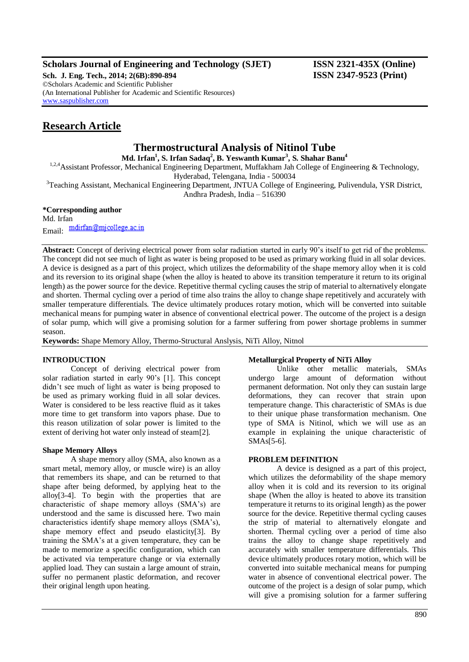## **Scholars Journal of Engineering and Technology (SJET) ISSN 2321-435X (Online)**

**Sch. J. Eng. Tech., 2014; 2(6B):890-894 ISSN 2347-9523 (Print)** ©Scholars Academic and Scientific Publisher (An International Publisher for Academic and Scientific Resources) [www.saspublisher.com](http://www.saspublisher.com/)

# **Research Article**

## **Thermostructural Analysis of Nitinol Tube**

**Md. Irfan<sup>1</sup> , S. Irfan Sadaq<sup>2</sup> , B. Yeswanth Kumar<sup>3</sup> , S. Shahar Banu<sup>4</sup>**

<sup>1,2,4</sup>Assistant Professor, Mechanical Engineering Department, Muffakham Jah College of Engineering & Technology, Hyderabad, Telengana, India - 500034

<sup>3</sup>Teaching Assistant, Mechanical Engineering Department, JNTUA College of Engineering, Pulivendula, YSR District, Andhra Pradesh, India – 516390

## **\*Corresponding author**

Md. Irfan Email: mdirfan@mjcollege.ac.in

**Abstract:** Concept of deriving electrical power from solar radiation started in early 90's itself to get rid of the problems. The concept did not see much of light as water is being proposed to be used as primary working fluid in all solar devices. A device is designed as a part of this project, which utilizes the deformability of the shape memory alloy when it is cold and its reversion to its original shape (when the alloy is heated to above its transition temperature it return to its original length) as the power source for the device. Repetitive thermal cycling causes the strip of material to alternatively elongate and shorten. Thermal cycling over a period of time also trains the alloy to change shape repetitively and accurately with smaller temperature differentials. The device ultimately produces rotary motion, which will be converted into suitable mechanical means for pumping water in absence of conventional electrical power. The outcome of the project is a design of solar pump, which will give a promising solution for a farmer suffering from power shortage problems in summer season.

**Keywords:** Shape Memory Alloy, Thermo-Structural Anslysis, NiTi Alloy, Nitnol

## **INTRODUCTION**

Concept of deriving electrical power from solar radiation started in early 90's [1]. This concept didn't see much of light as water is being proposed to be used as primary working fluid in all solar devices. Water is considered to be less reactive fluid as it takes more time to get transform into vapors phase. Due to this reason utilization of solar power is limited to the extent of deriving hot water only instead of steam[2].

## **Shape Memory Alloys**

A shape memory alloy (SMA, also known as a smart metal, memory alloy, or muscle wire) is an alloy that remembers its shape, and can be returned to that shape after being deformed, by applying heat to the alloy[3-4]. To begin with the properties that are characteristic of shape memory alloys (SMA's) are understood and the same is discussed here. Two main characteristics identify shape memory alloys (SMA's), shape memory effect and pseudo elasticity[3]. By training the SMA's at a given temperature, they can be made to memorize a specific configuration, which can be activated via temperature change or via externally applied load. They can sustain a large amount of strain, suffer no permanent plastic deformation, and recover their original length upon heating.

## **Metallurgical Property of NiTi Alloy**

Unlike other metallic materials, SMAs undergo large amount of deformation without permanent deformation. Not only they can sustain large deformations, they can recover that strain upon temperature change. This characteristic of SMAs is due to their unique phase transformation mechanism. One type of SMA is Nitinol, which we will use as an example in explaining the unique characteristic of SMAs[5-6].

## **PROBLEM DEFINITION**

A device is designed as a part of this project, which utilizes the deformability of the shape memory alloy when it is cold and its reversion to its original shape (When the alloy is heated to above its transition temperature it returns to its original length) as the power source for the device. Repetitive thermal cycling causes the strip of material to alternatively elongate and shorten. Thermal cycling over a period of time also trains the alloy to change shape repetitively and accurately with smaller temperature differentials. This device ultimately produces rotary motion, which will be converted into suitable mechanical means for pumping water in absence of conventional electrical power. The outcome of the project is a design of solar pump, which will give a promising solution for a farmer suffering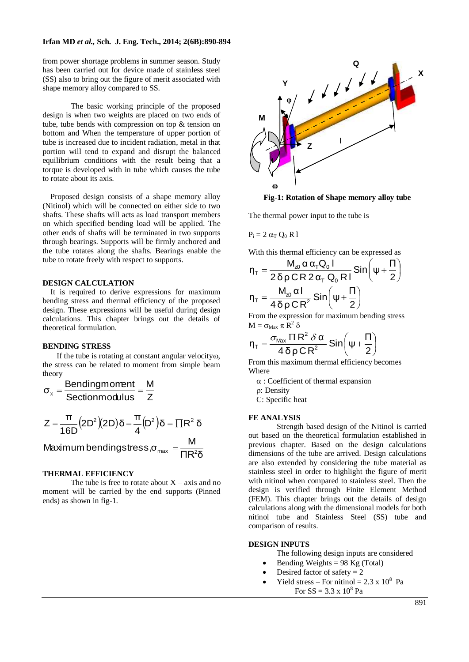from power shortage problems in summer season. Study has been carried out for device made of stainless steel (SS) also to bring out the figure of merit associated with shape memory alloy compared to SS.

The basic working principle of the proposed design is when two weights are placed on two ends of tube, tube bends with compression on top & tension on bottom and When the temperature of upper portion of tube is increased due to incident radiation, metal in that portion will tend to expand and disrupt the balanced equilibrium conditions with the result being that a torque is developed with in tube which causes the tube to rotate about its axis.

Proposed design consists of a shape memory alloy (Nitinol) which will be connected on either side to two shafts. These shafts will acts as load transport members on which specified bending load will be applied. The other ends of shafts will be terminated in two supports through bearings. Supports will be firmly anchored and the tube rotates along the shafts. Bearings enable the tube to rotate freely with respect to supports.

#### **DESIGN CALCULATION**

It is required to derive expressions for maximum bending stress and thermal efficiency of the proposed design. These expressions will be useful during design calculations. This chapter brings out the details of theoretical formulation.

#### **BENDING STRESS**

If the tube is rotating at constant angular velocity $\omega$ , the stress can be related to moment from simple beam theory

$$
\sigma_x = \frac{Bendingmoment}{Section modulus} = \frac{M}{Z}
$$

$$
Z = \frac{\pi}{16D} (2D^2)(2D)\delta = \frac{\pi}{4} (D^2)\delta = \prod R^2 \delta
$$

Maximum bendingst

$$
tress, \sigma_{max} = \frac{M}{\Pi R^2 \delta}
$$

#### **THERMAL EFFICIENCY**

The tube is free to rotate about  $X - axis$  and no moment will be carried by the end supports (Pinned ends) as shown in fig-1.



**Fig-1: Rotation of Shape memory alloy tube**

The thermal power input to the tube is

$$
P_i=2\;\alpha_T\;Q_0\;R\;l
$$

With this thermal efficiency can be expressed as

$$
\eta_{\tau} = \frac{M_{20} \alpha \alpha_{\tau} Q_0 I}{2 \delta \rho C R 2 \alpha_{\tau} Q_0 R I} \sin\left(\psi + \frac{\Pi}{2}\right)
$$

$$
\eta_{\tau} = \frac{M_{20} \alpha I}{4 \delta \rho C R^2} \sin\left(\psi + \frac{\Pi}{2}\right)
$$

From the expression for maximum bending stress  $M = \sigma_{Max} \pi R^2 \delta$ 

$$
\eta_{\text{T}} = \frac{\sigma_{\text{Max}} \, \Pi \, R^2 \, \delta \, \alpha}{4 \, \delta \, \rho \, C \, R^2} \, \text{Sin}\bigg(\psi + \frac{\Pi}{2}\bigg)
$$

From this maximum thermal efficiency becomes Where

 $\alpha$ : Coefficient of thermal expansion

: Density

C: Specific heat

#### **FE ANALYSIS**

Strength based design of the Nitinol is carried out based on the theoretical formulation established in previous chapter. Based on the design calculations dimensions of the tube are arrived. Design calculations are also extended by considering the tube material as stainless steel in order to highlight the figure of merit with nitinol when compared to stainless steel. Then the design is verified through Finite Element Method (FEM). This chapter brings out the details of design calculations along with the dimensional models for both nitinol tube and Stainless Steel (SS) tube and comparison of results.

#### **DESIGN INPUTS**

The following design inputs are considered

- Bending Weights  $= 98$  Kg (Total)
- Desired factor of safety  $= 2$
- Yield stress For nitinol =  $2.3 \times 10^8$  Pa For  $SS = 3.3 \times 10^8$  Pa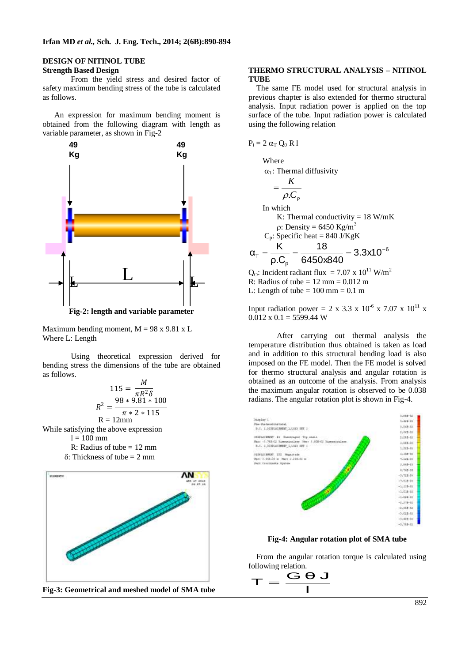#### **DESIGN OF NITINOL TUBE Strength Based Design**

From the yield stress and desired factor of safety maximum bending stress of the tube is calculated as follows.

 An expression for maximum bending moment is obtained from the following diagram with length as variable parameter, as shown in Fig-2



Maximum bending moment,  $M = 98 \times 9.81 \times L$ Where L: Length

Using theoretical expression derived for bending stress the dimensions of the tube are obtained as follows.

$$
115 = \frac{M}{\pi R^2 \delta}
$$
  

$$
R^2 = \frac{98 * 9.81 * 100}{\pi * 2 * 115}
$$
  
R = 12mm

While satisfying the above expression

 $l = 100$  mm

- R: Radius of tube  $= 12$  mm  $\delta$ : Thickness of tube = 2 mm
- 



**Fig-3: Geometrical and meshed model of SMA tube**

#### **THERMO STRUCTURAL ANALYSIS – NITINOL TUBE**

The same FE model used for structural analysis in previous chapter is also extended for thermo structural analysis. Input radiation power is applied on the top surface of the tube. Input radiation power is calculated using the following relation

 $P_i = 2 \alpha_T O_0 R l$ 

Where  $\alpha$ <sup>T</sup>: Thermal diffusivity

$$
= \frac{K}{\rho.C_p}
$$
  
In which  
K: Thermal conductivity = 18 W/mK  

$$
\rho: Density = 6450 \text{ Kg/m}^3
$$
  

$$
C_p: Specific heat = 840 \text{ J/KgK}
$$
  

$$
\alpha_T = \frac{K}{\rho.C_p} = \frac{18}{6450 \times 840} = 3.3 \times 10^{-6}
$$

 $Q_0$ : Incident radiant flux = 7.07 x 10<sup>11</sup> W/m<sup>2</sup> R: Radius of tube =  $12 \text{ mm} = 0.012 \text{ m}$ L: Length of tube  $= 100$  mm  $= 0.1$  m

Input radiation power = 2 x 3.3 x 10<sup>-6</sup> x 7.07 x 10<sup>11</sup> x  $0.012 \times 0.1 = 5599.44$  W

After carrying out thermal analysis the temperature distribution thus obtained is taken as load and in addition to this structural bending load is also imposed on the FE model. Then the FE model is solved for thermo structural analysis and angular rotation is obtained as an outcome of the analysis. From analysis the maximum angular rotation is observed to be 0.038 radians. The angular rotation plot is shown in Fig-4.



**Fig-4: Angular rotation plot of SMA tube**

From the angular rotation torque is calculated using

following relation.  

$$
\mathbf{T} = \frac{\mathbf{G} \mathbf{\Theta}}{\mathbf{I}}
$$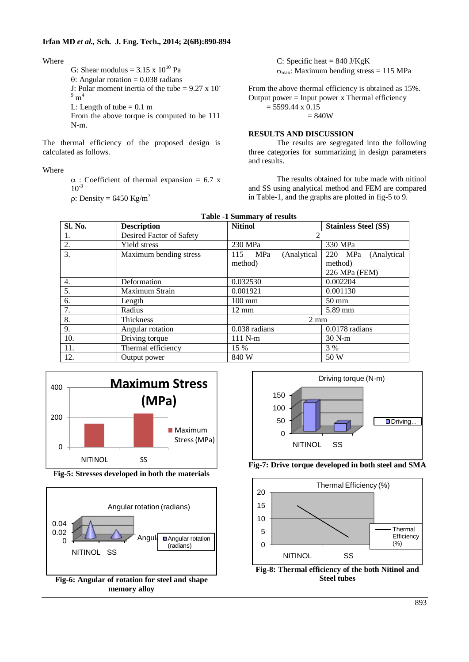Where

G: Shear modulus =  $3.15 \times 10^{10}$  Pa  $\theta$ : Angular rotation = 0.038 radians J: Polar moment inertia of the tube =  $9.27 \times 10^{-7}$  $^{9}$  m<sup>4</sup> L: Length of tube  $= 0.1$  m From the above torque is computed to be 111 N-m.

The thermal efficiency of the proposed design is calculated as follows.

Where

 $\alpha$ : Coefficient of thermal expansion = 6.7 x  $10^{-3}$  $\Omega$ : Density = 6450 Kg/m<sup>3</sup>

C: Specific heat =  $840$  J/KgK  $\sigma_{\text{max}}$ : Maximum bending stress = 115 MPa

From the above thermal efficiency is obtained as 15%. Output power = Input power x Thermal efficiency  $= 5599.44 \times 0.15$  $= 840W$ 

## **RESULTS AND DISCUSSION**

The results are segregated into the following three categories for summarizing in design parameters and results.

The results obtained for tube made with nitinol and SS using analytical method and FEM are compared in Table-1, and the graphs are plotted in fig-5 to 9.

| <b>Sl. No.</b>   | <b>Description</b>       | <b>Nitinol</b>          | <b>Stainless Steel (SS)</b> |
|------------------|--------------------------|-------------------------|-----------------------------|
| 1.               | Desired Factor of Safety |                         |                             |
| 2.               | Yield stress             | 230 MPa                 | 330 MPa                     |
| $\overline{3}$ . | Maximum bending stress   | 115 MPa<br>(Analytical) | 220 MPa<br>(Analytical      |
|                  |                          | method)                 | method)                     |
|                  |                          |                         | 226 MPa (FEM)               |
| 4.               | Deformation              | 0.032530                | 0.002204                    |
| 5.               | Maximum Strain           | 0.001921                | 0.001130                    |
| 6.               | Length                   | $100 \text{ mm}$        | $50 \text{ mm}$             |
| 7.               | Radius                   | $12 \text{ mm}$         | 5.89 mm                     |
| 8.               | Thickness                | $2 \text{ mm}$          |                             |
| 9.               | Angular rotation         | 0.038 radians           | 0.0178 radians              |
| 10.              | Driving torque           | $111$ N-m               | $30 N-m$                    |
| 11.              | Thermal efficiency       | 15 %                    | 3 %                         |
| 12.              | Output power             | 840 W                   | 50 W                        |





**Fig-5: Stresses developed in both the materials**





**Fig-7: Drive torque developed in both steel and SMA**